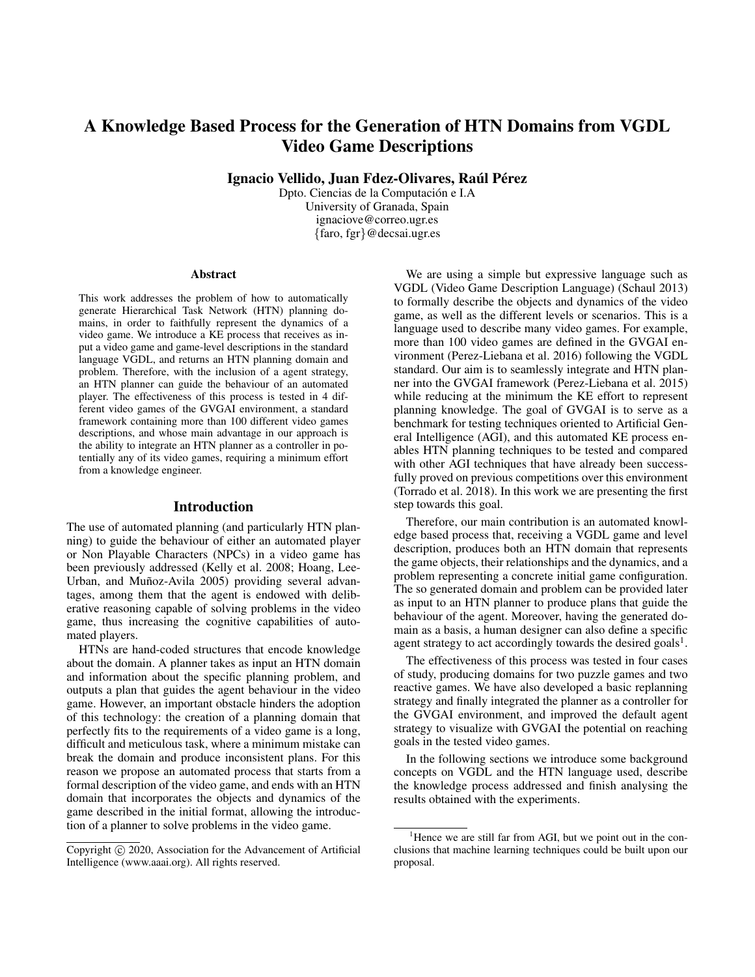# A Knowledge Based Process for the Generation of HTN Domains from VGDL Video Game Descriptions

Ignacio Vellido, Juan Fdez-Olivares, Raúl Pérez

Dpto. Ciencias de la Computación e I.A University of Granada, Spain ignaciove@correo.ugr.es {faro, fgr}@decsai.ugr.es

#### Abstract

This work addresses the problem of how to automatically generate Hierarchical Task Network (HTN) planning domains, in order to faithfully represent the dynamics of a video game. We introduce a KE process that receives as input a video game and game-level descriptions in the standard language VGDL, and returns an HTN planning domain and problem. Therefore, with the inclusion of a agent strategy, an HTN planner can guide the behaviour of an automated player. The effectiveness of this process is tested in 4 different video games of the GVGAI environment, a standard framework containing more than 100 different video games descriptions, and whose main advantage in our approach is the ability to integrate an HTN planner as a controller in potentially any of its video games, requiring a minimum effort from a knowledge engineer.

#### Introduction

The use of automated planning (and particularly HTN planning) to guide the behaviour of either an automated player or Non Playable Characters (NPCs) in a video game has been previously addressed (Kelly et al. 2008; Hoang, Lee-Urban, and Muñoz-Avila 2005) providing several advantages, among them that the agent is endowed with deliberative reasoning capable of solving problems in the video game, thus increasing the cognitive capabilities of automated players.

HTNs are hand-coded structures that encode knowledge about the domain. A planner takes as input an HTN domain and information about the specific planning problem, and outputs a plan that guides the agent behaviour in the video game. However, an important obstacle hinders the adoption of this technology: the creation of a planning domain that perfectly fits to the requirements of a video game is a long, difficult and meticulous task, where a minimum mistake can break the domain and produce inconsistent plans. For this reason we propose an automated process that starts from a formal description of the video game, and ends with an HTN domain that incorporates the objects and dynamics of the game described in the initial format, allowing the introduction of a planner to solve problems in the video game.

We are using a simple but expressive language such as VGDL (Video Game Description Language) (Schaul 2013) to formally describe the objects and dynamics of the video game, as well as the different levels or scenarios. This is a language used to describe many video games. For example, more than 100 video games are defined in the GVGAI environment (Perez-Liebana et al. 2016) following the VGDL standard. Our aim is to seamlessly integrate and HTN planner into the GVGAI framework (Perez-Liebana et al. 2015) while reducing at the minimum the KE effort to represent planning knowledge. The goal of GVGAI is to serve as a benchmark for testing techniques oriented to Artificial General Intelligence (AGI), and this automated KE process enables HTN planning techniques to be tested and compared with other AGI techniques that have already been successfully proved on previous competitions over this environment (Torrado et al. 2018). In this work we are presenting the first step towards this goal.

Therefore, our main contribution is an automated knowledge based process that, receiving a VGDL game and level description, produces both an HTN domain that represents the game objects, their relationships and the dynamics, and a problem representing a concrete initial game configuration. The so generated domain and problem can be provided later as input to an HTN planner to produce plans that guide the behaviour of the agent. Moreover, having the generated domain as a basis, a human designer can also define a specific agent strategy to act accordingly towards the desired goals<sup>1</sup>.

The effectiveness of this process was tested in four cases of study, producing domains for two puzzle games and two reactive games. We have also developed a basic replanning strategy and finally integrated the planner as a controller for the GVGAI environment, and improved the default agent strategy to visualize with GVGAI the potential on reaching goals in the tested video games.

In the following sections we introduce some background concepts on VGDL and the HTN language used, describe the knowledge process addressed and finish analysing the results obtained with the experiments.

Copyright  $\odot$  2020, Association for the Advancement of Artificial Intelligence (www.aaai.org). All rights reserved.

 $<sup>1</sup>$  Hence we are still far from AGI, but we point out in the con-</sup> clusions that machine learning techniques could be built upon our proposal.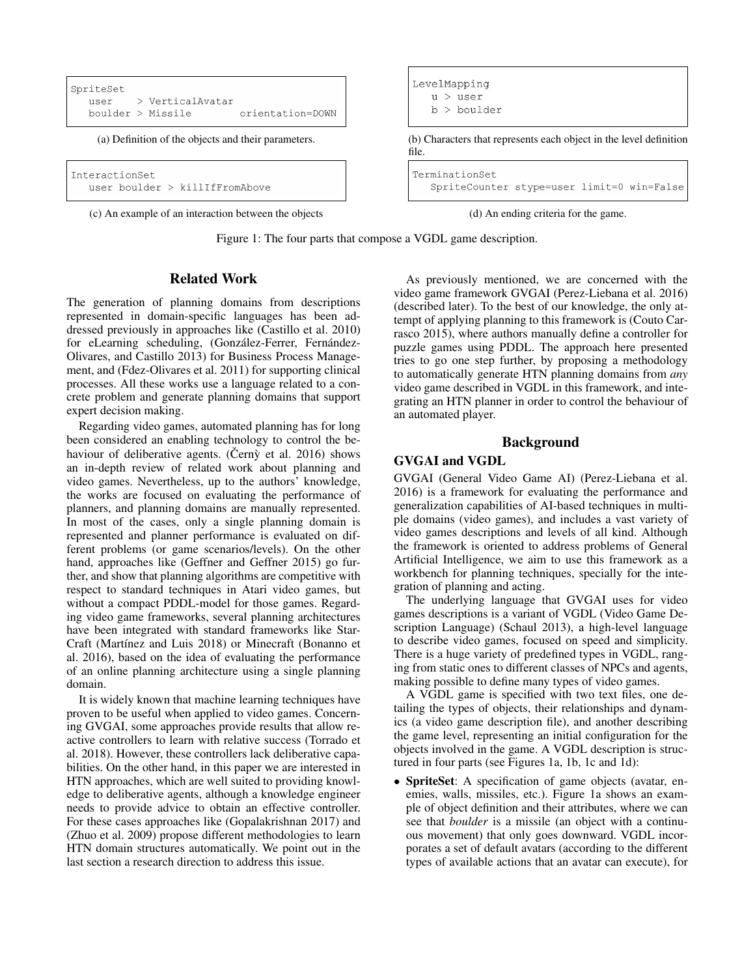```
SpriteSet
  user
           > VerticalAvatar
  boulder > Missile
                             orientation=DOWN
```

```
InteractionSet
   user boulder > killIfFromAbove
```
(c) An example of an interaction between the objects (d) An ending criteria for the game.

Figure 1: The four parts that compose a VGDL game description.

# Related Work

The generation of planning domains from descriptions represented in domain-specific languages has been addressed previously in approaches like (Castillo et al. 2010) for eLearning scheduling, (González-Ferrer, Fernández-Olivares, and Castillo 2013) for Business Process Management, and (Fdez-Olivares et al. 2011) for supporting clinical processes. All these works use a language related to a concrete problem and generate planning domains that support expert decision making.

Regarding video games, automated planning has for long been considered an enabling technology to control the behaviour of deliberative agents. (Cerny et al.  $2016$ ) shows an in-depth review of related work about planning and video games. Nevertheless, up to the authors' knowledge, the works are focused on evaluating the performance of planners, and planning domains are manually represented. In most of the cases, only a single planning domain is represented and planner performance is evaluated on different problems (or game scenarios/levels). On the other hand, approaches like (Geffner and Geffner 2015) go further, and show that planning algorithms are competitive with respect to standard techniques in Atari video games, but without a compact PDDL-model for those games. Regarding video game frameworks, several planning architectures have been integrated with standard frameworks like Star-Craft (Martínez and Luis 2018) or Minecraft (Bonanno et al. 2016), based on the idea of evaluating the performance of an online planning architecture using a single planning domain.

It is widely known that machine learning techniques have proven to be useful when applied to video games. Concerning GVGAI, some approaches provide results that allow reactive controllers to learn with relative success (Torrado et al. 2018). However, these controllers lack deliberative capabilities. On the other hand, in this paper we are interested in HTN approaches, which are well suited to providing knowledge to deliberative agents, although a knowledge engineer needs to provide advice to obtain an effective controller. For these cases approaches like (Gopalakrishnan 2017) and (Zhuo et al. 2009) propose different methodologies to learn HTN domain structures automatically. We point out in the last section a research direction to address this issue.

LevelMapping  $u >$ user  $b >$  boulder (a) Definition of the objects and their parameters. (b) Characters that represents each object in the level definition file. TerminationSet SpriteCounter stype=user limit=0 win=False



As previously mentioned, we are concerned with the video game framework GVGAI (Perez-Liebana et al. 2016) (described later). To the best of our knowledge, the only attempt of applying planning to this framework is (Couto Carrasco 2015), where authors manually define a controller for puzzle games using PDDL. The approach here presented tries to go one step further, by proposing a methodology to automatically generate HTN planning domains from *any* video game described in VGDL in this framework, and integrating an HTN planner in order to control the behaviour of an automated player.

#### Background

### GVGAI and VGDL

GVGAI (General Video Game AI) (Perez-Liebana et al. 2016) is a framework for evaluating the performance and generalization capabilities of AI-based techniques in multiple domains (video games), and includes a vast variety of video games descriptions and levels of all kind. Although the framework is oriented to address problems of General Artificial Intelligence, we aim to use this framework as a workbench for planning techniques, specially for the integration of planning and acting.

The underlying language that GVGAI uses for video games descriptions is a variant of VGDL (Video Game Description Language) (Schaul 2013), a high-level language to describe video games, focused on speed and simplicity. There is a huge variety of predefined types in VGDL, ranging from static ones to different classes of NPCs and agents, making possible to define many types of video games.

A VGDL game is specified with two text files, one detailing the types of objects, their relationships and dynamics (a video game description file), and another describing the game level, representing an initial configuration for the objects involved in the game. A VGDL description is structured in four parts (see Figures 1a, 1b, 1c and 1d):

• **SpriteSet**: A specification of game objects (avatar, enemies, walls, missiles, etc.). Figure 1a shows an example of object definition and their attributes, where we can see that *boulder* is a missile (an object with a continuous movement) that only goes downward. VGDL incorporates a set of default avatars (according to the different types of available actions that an avatar can execute), for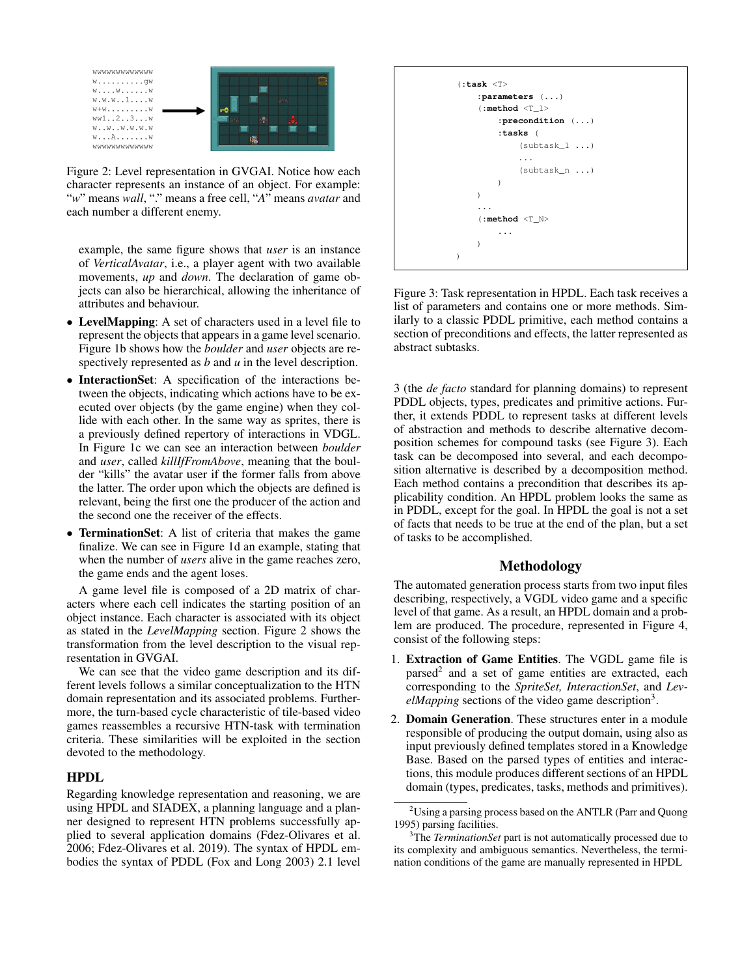

Figure 2: Level representation in GVGAI. Notice how each character represents an instance of an object. For example: "*w*" means *wall*, "." means a free cell, "*A*" means *avatar* and each number a different enemy.

example, the same figure shows that *user* is an instance of *VerticalAvatar*, i.e., a player agent with two available movements, *up* and *down*. The declaration of game objects can also be hierarchical, allowing the inheritance of attributes and behaviour.

- LevelMapping: A set of characters used in a level file to represent the objects that appears in a game level scenario. Figure 1b shows how the *boulder* and *user* objects are respectively represented as *b* and *u* in the level description.
- InteractionSet: A specification of the interactions between the objects, indicating which actions have to be executed over objects (by the game engine) when they collide with each other. In the same way as sprites, there is a previously defined repertory of interactions in VDGL. In Figure 1c we can see an interaction between *boulder* and *user*, called *killIfFromAbove*, meaning that the boulder "kills" the avatar user if the former falls from above the latter. The order upon which the objects are defined is relevant, being the first one the producer of the action and the second one the receiver of the effects.
- **TerminationSet:** A list of criteria that makes the game finalize. We can see in Figure 1d an example, stating that when the number of *users* alive in the game reaches zero, the game ends and the agent loses.

A game level file is composed of a 2D matrix of characters where each cell indicates the starting position of an object instance. Each character is associated with its object as stated in the *LevelMapping* section. Figure 2 shows the transformation from the level description to the visual representation in GVGAI.

We can see that the video game description and its different levels follows a similar conceptualization to the HTN domain representation and its associated problems. Furthermore, the turn-based cycle characteristic of tile-based video games reassembles a recursive HTN-task with termination criteria. These similarities will be exploited in the section devoted to the methodology.

### HPDL

Regarding knowledge representation and reasoning, we are using HPDL and SIADEX, a planning language and a planner designed to represent HTN problems successfully applied to several application domains (Fdez-Olivares et al. 2006; Fdez-Olivares et al. 2019). The syntax of HPDL embodies the syntax of PDDL (Fox and Long 2003) 2.1 level

```
(:task <T>
    :parameters (...)
     (:method <T_1>
         :precondition (...)
         :tasks (
              (subtask_1 ...)
              ...
              (subtask_n ...)
         \lambda)
     ...
     (:method <T_N>
         ...
    \lambda)
```
Figure 3: Task representation in HPDL. Each task receives a list of parameters and contains one or more methods. Similarly to a classic PDDL primitive, each method contains a section of preconditions and effects, the latter represented as abstract subtasks.

3 (the *de facto* standard for planning domains) to represent PDDL objects, types, predicates and primitive actions. Further, it extends PDDL to represent tasks at different levels of abstraction and methods to describe alternative decomposition schemes for compound tasks (see Figure 3). Each task can be decomposed into several, and each decomposition alternative is described by a decomposition method. Each method contains a precondition that describes its applicability condition. An HPDL problem looks the same as in PDDL, except for the goal. In HPDL the goal is not a set of facts that needs to be true at the end of the plan, but a set of tasks to be accomplished.

#### Methodology

The automated generation process starts from two input files describing, respectively, a VGDL video game and a specific level of that game. As a result, an HPDL domain and a problem are produced. The procedure, represented in Figure 4, consist of the following steps:

- 1. Extraction of Game Entities. The VGDL game file is parsed<sup>2</sup> and a set of game entities are extracted, each corresponding to the *SpriteSet, InteractionSet*, and *Lev*elMapping sections of the video game description<sup>3</sup>.
- 2. Domain Generation. These structures enter in a module responsible of producing the output domain, using also as input previously defined templates stored in a Knowledge Base. Based on the parsed types of entities and interactions, this module produces different sections of an HPDL domain (types, predicates, tasks, methods and primitives).

<sup>&</sup>lt;sup>2</sup>Using a parsing process based on the ANTLR (Parr and Quong 1995) parsing facilities.

<sup>3</sup>The *TerminationSet* part is not automatically processed due to its complexity and ambiguous semantics. Nevertheless, the termination conditions of the game are manually represented in HPDL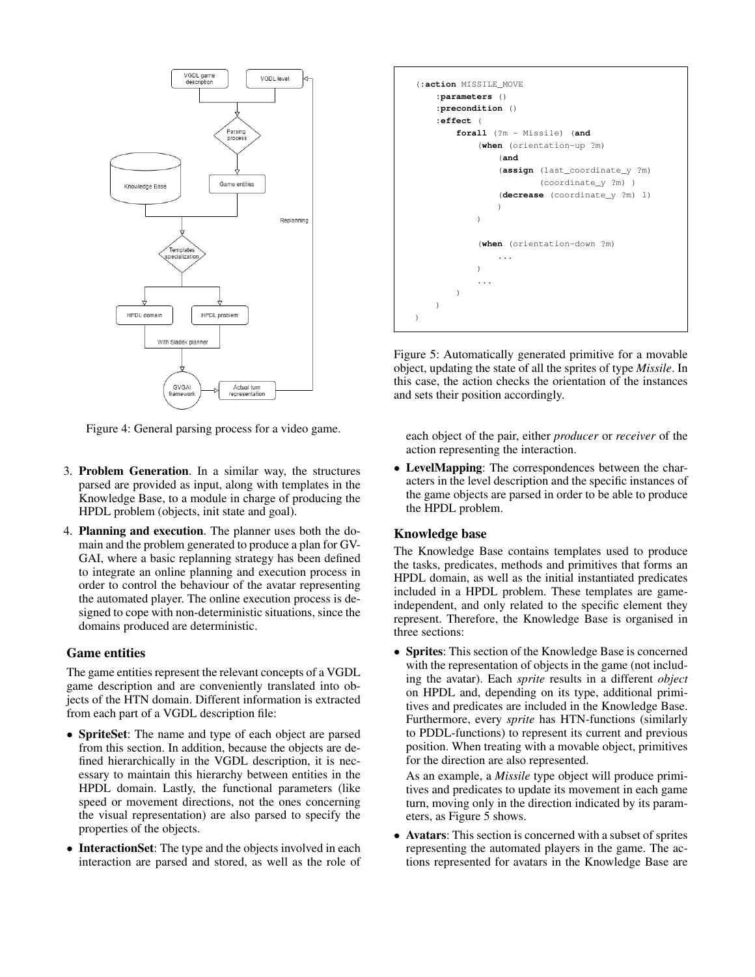

Figure 4: General parsing process for a video game.

- 3. Problem Generation. In a similar way, the structures parsed are provided as input, along with templates in the Knowledge Base, to a module in charge of producing the HPDL problem (objects, init state and goal).
- 4. Planning and execution. The planner uses both the domain and the problem generated to produce a plan for GV-GAI, where a basic replanning strategy has been defined to integrate an online planning and execution process in order to control the behaviour of the avatar representing the automated player. The online execution process is designed to cope with non-deterministic situations, since the domains produced are deterministic.

#### Game entities

The game entities represent the relevant concepts of a VGDL game description and are conveniently translated into objects of the HTN domain. Different information is extracted from each part of a VGDL description file:

- SpriteSet: The name and type of each object are parsed from this section. In addition, because the objects are defined hierarchically in the VGDL description, it is necessary to maintain this hierarchy between entities in the HPDL domain. Lastly, the functional parameters (like speed or movement directions, not the ones concerning the visual representation) are also parsed to specify the properties of the objects.
- InteractionSet: The type and the objects involved in each interaction are parsed and stored, as well as the role of



Figure 5: Automatically generated primitive for a movable object, updating the state of all the sprites of type *Missile*. In this case, the action checks the orientation of the instances and sets their position accordingly.

each object of the pair, either *producer* or *receiver* of the action representing the interaction.

• LevelMapping: The correspondences between the characters in the level description and the specific instances of the game objects are parsed in order to be able to produce the HPDL problem.

# Knowledge base

The Knowledge Base contains templates used to produce the tasks, predicates, methods and primitives that forms an HPDL domain, as well as the initial instantiated predicates included in a HPDL problem. These templates are gameindependent, and only related to the specific element they represent. Therefore, the Knowledge Base is organised in three sections:

• Sprites: This section of the Knowledge Base is concerned with the representation of objects in the game (not including the avatar). Each *sprite* results in a different *object* on HPDL and, depending on its type, additional primitives and predicates are included in the Knowledge Base. Furthermore, every *sprite* has HTN-functions (similarly to PDDL-functions) to represent its current and previous position. When treating with a movable object, primitives for the direction are also represented.

As an example, a *Missile* type object will produce primitives and predicates to update its movement in each game turn, moving only in the direction indicated by its parameters, as Figure 5 shows.

• Avatars: This section is concerned with a subset of sprites representing the automated players in the game. The actions represented for avatars in the Knowledge Base are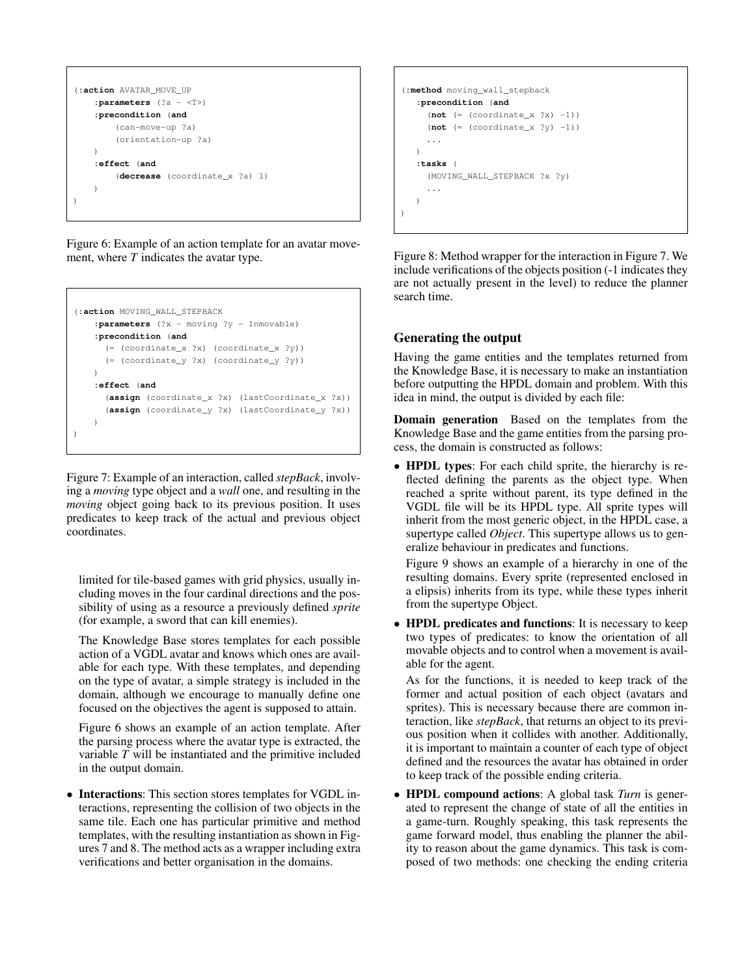```
(:action AVATAR_MOVE_UP
   :parameters (?a - <T>)
   :precondition (and
        (can-move-up ?a)
        (orientation-up ?a)
   )
   :effect (and
        (decrease (coordinate_x ?a) 1)
    )
)
```
Figure 6: Example of an action template for an avatar movement, where *T* indicates the avatar type.

```
(:action MOVING_WALL_STEPBACK
   :parameters (?x - moving ?y - Inmovable)
   :precondition (and
     (= (coordinate_x ?x) (coordinate_x ?y))
      (= (coordinate_y ?x) (coordinate_y ?y))
   )
   :effect (and
     (assign (coordinate_x ?x) (lastCoordinate_x ?x))
      (assign (coordinate_y ?x) (lastCoordinate_y ?x))
   \lambda)
```
Figure 7: Example of an interaction, called *stepBack*, involving a *moving* type object and a *wall* one, and resulting in the *moving* object going back to its previous position. It uses predicates to keep track of the actual and previous object coordinates.

limited for tile-based games with grid physics, usually including moves in the four cardinal directions and the possibility of using as a resource a previously defined *sprite* (for example, a sword that can kill enemies).

The Knowledge Base stores templates for each possible action of a VGDL avatar and knows which ones are available for each type. With these templates, and depending on the type of avatar, a simple strategy is included in the domain, although we encourage to manually define one focused on the objectives the agent is supposed to attain.

Figure 6 shows an example of an action template. After the parsing process where the avatar type is extracted, the variable *T* will be instantiated and the primitive included in the output domain.

• Interactions: This section stores templates for VGDL interactions, representing the collision of two objects in the same tile. Each one has particular primitive and method templates, with the resulting instantiation as shown in Figures 7 and 8. The method acts as a wrapper including extra verifications and better organisation in the domains.

```
(:method moving_wall_stepback
   :precondition (and
     (\text{not } (= (coordinate_x ?x) -1))(not (= (coordinate_x ?y) -1))
     ...
   )
   :tasks (
     (MOVING_WALL_STEPBACK ?x ?y)
     ...
   )
)
```
Figure 8: Method wrapper for the interaction in Figure 7. We include verifications of the objects position (-1 indicates they are not actually present in the level) to reduce the planner search time.

# Generating the output

Having the game entities and the templates returned from the Knowledge Base, it is necessary to make an instantiation before outputting the HPDL domain and problem. With this idea in mind, the output is divided by each file:

Domain generation Based on the templates from the Knowledge Base and the game entities from the parsing process, the domain is constructed as follows:

• **HPDL types**: For each child sprite, the hierarchy is reflected defining the parents as the object type. When reached a sprite without parent, its type defined in the VGDL file will be its HPDL type. All sprite types will inherit from the most generic object, in the HPDL case, a supertype called *Object*. This supertype allows us to generalize behaviour in predicates and functions.

Figure 9 shows an example of a hierarchy in one of the resulting domains. Every sprite (represented enclosed in a elipsis) inherits from its type, while these types inherit from the supertype Object.

• HPDL predicates and functions: It is necessary to keep two types of predicates: to know the orientation of all movable objects and to control when a movement is available for the agent.

As for the functions, it is needed to keep track of the former and actual position of each object (avatars and sprites). This is necessary because there are common interaction, like *stepBack*, that returns an object to its previous position when it collides with another. Additionally, it is important to maintain a counter of each type of object defined and the resources the avatar has obtained in order to keep track of the possible ending criteria.

• HPDL compound actions: A global task *Turn* is generated to represent the change of state of all the entities in a game-turn. Roughly speaking, this task represents the game forward model, thus enabling the planner the ability to reason about the game dynamics. This task is composed of two methods: one checking the ending criteria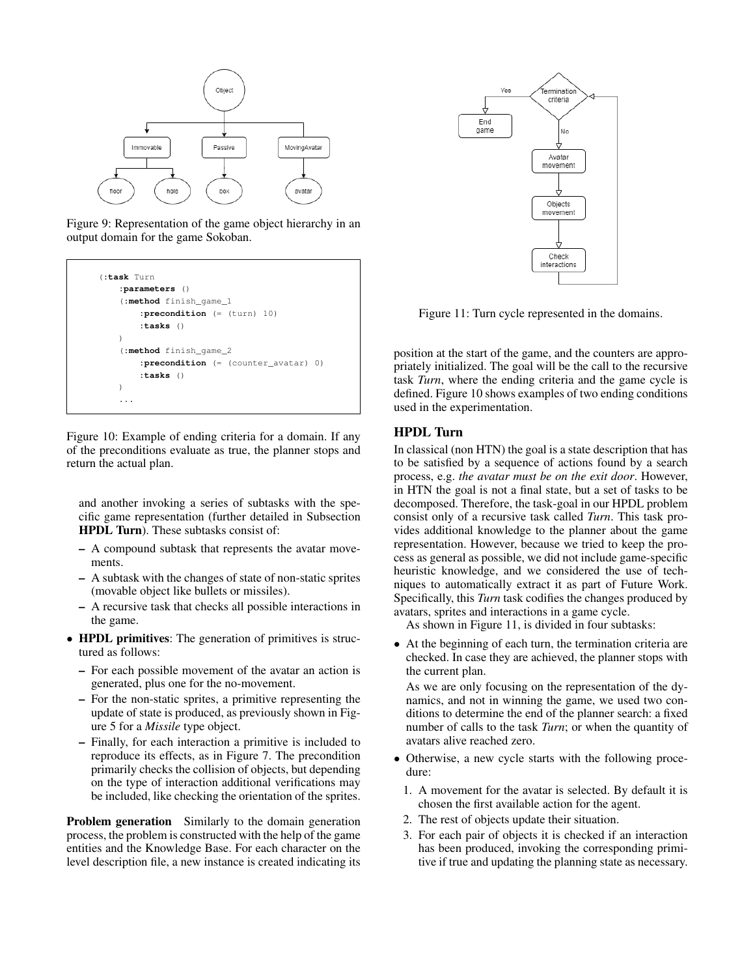

Figure 9: Representation of the game object hierarchy in an output domain for the game Sokoban.



Figure 10: Example of ending criteria for a domain. If any of the preconditions evaluate as true, the planner stops and return the actual plan.

and another invoking a series of subtasks with the specific game representation (further detailed in Subsection HPDL Turn). These subtasks consist of:

- A compound subtask that represents the avatar movements.
- A subtask with the changes of state of non-static sprites (movable object like bullets or missiles).
- A recursive task that checks all possible interactions in the game.
- **HPDL primitives**: The generation of primitives is structured as follows:
	- For each possible movement of the avatar an action is generated, plus one for the no-movement.
	- For the non-static sprites, a primitive representing the update of state is produced, as previously shown in Figure 5 for a *Missile* type object.
	- Finally, for each interaction a primitive is included to reproduce its effects, as in Figure 7. The precondition primarily checks the collision of objects, but depending on the type of interaction additional verifications may be included, like checking the orientation of the sprites.

Problem generation Similarly to the domain generation process, the problem is constructed with the help of the game entities and the Knowledge Base. For each character on the level description file, a new instance is created indicating its



Figure 11: Turn cycle represented in the domains.

position at the start of the game, and the counters are appropriately initialized. The goal will be the call to the recursive task *Turn*, where the ending criteria and the game cycle is defined. Figure 10 shows examples of two ending conditions used in the experimentation.

#### HPDL Turn

In classical (non HTN) the goal is a state description that has to be satisfied by a sequence of actions found by a search process, e.g. *the avatar must be on the exit door*. However, in HTN the goal is not a final state, but a set of tasks to be decomposed. Therefore, the task-goal in our HPDL problem consist only of a recursive task called *Turn*. This task provides additional knowledge to the planner about the game representation. However, because we tried to keep the process as general as possible, we did not include game-specific heuristic knowledge, and we considered the use of techniques to automatically extract it as part of Future Work. Specifically, this *Turn* task codifies the changes produced by avatars, sprites and interactions in a game cycle.

As shown in Figure 11, is divided in four subtasks:

• At the beginning of each turn, the termination criteria are checked. In case they are achieved, the planner stops with the current plan.

As we are only focusing on the representation of the dynamics, and not in winning the game, we used two conditions to determine the end of the planner search: a fixed number of calls to the task *Turn*; or when the quantity of avatars alive reached zero.

- Otherwise, a new cycle starts with the following procedure:
	- 1. A movement for the avatar is selected. By default it is chosen the first available action for the agent.
	- 2. The rest of objects update their situation.
	- 3. For each pair of objects it is checked if an interaction has been produced, invoking the corresponding primitive if true and updating the planning state as necessary.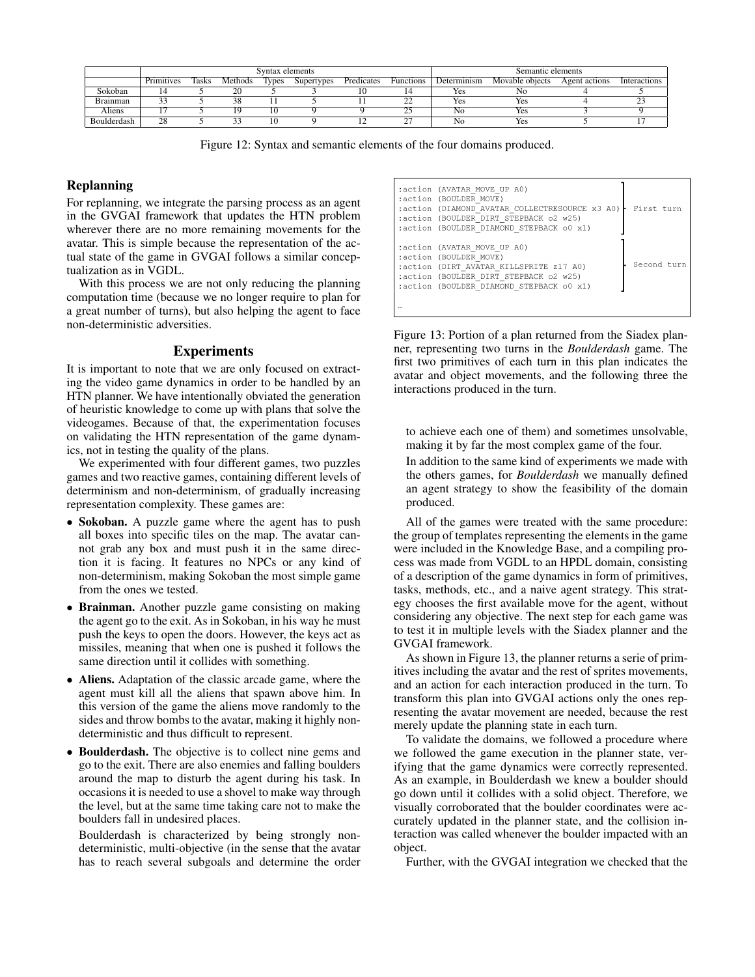|               | Syntax elements |              |         |       |            |            | Semantic elements |             |                 |               |              |
|---------------|-----------------|--------------|---------|-------|------------|------------|-------------------|-------------|-----------------|---------------|--------------|
|               | Primitives      | <b>Tasks</b> | Methods | lvpes | Supertypes | Predicates | <b>Functions</b>  | Determinism | Movable objects | Agent actions | Interactions |
| Sokoban       |                 |              |         |       |            |            |                   | Yes         | NC              |               |              |
| Brainman      |                 |              |         |       |            |            | ∸                 | Yes         | Yes             |               |              |
| <b>Aliens</b> |                 |              |         |       |            |            | ىمە               | No          | Yes             |               |              |
| Boulderdash   | 28              |              |         |       |            |            | ~~                | NC          | Yes             |               |              |

Figure 12: Syntax and semantic elements of the four domains produced.

### Replanning

For replanning, we integrate the parsing process as an agent in the GVGAI framework that updates the HTN problem wherever there are no more remaining movements for the avatar. This is simple because the representation of the actual state of the game in GVGAI follows a similar conceptualization as in VGDL.

With this process we are not only reducing the planning computation time (because we no longer require to plan for a great number of turns), but also helping the agent to face non-deterministic adversities.

### **Experiments**

It is important to note that we are only focused on extracting the video game dynamics in order to be handled by an HTN planner. We have intentionally obviated the generation of heuristic knowledge to come up with plans that solve the videogames. Because of that, the experimentation focuses on validating the HTN representation of the game dynamics, not in testing the quality of the plans.

We experimented with four different games, two puzzles games and two reactive games, containing different levels of determinism and non-determinism, of gradually increasing representation complexity. These games are:

- Sokoban. A puzzle game where the agent has to push all boxes into specific tiles on the map. The avatar cannot grab any box and must push it in the same direction it is facing. It features no NPCs or any kind of non-determinism, making Sokoban the most simple game from the ones we tested.
- Brainman. Another puzzle game consisting on making the agent go to the exit. As in Sokoban, in his way he must push the keys to open the doors. However, the keys act as missiles, meaning that when one is pushed it follows the same direction until it collides with something.
- Aliens. Adaptation of the classic arcade game, where the agent must kill all the aliens that spawn above him. In this version of the game the aliens move randomly to the sides and throw bombs to the avatar, making it highly nondeterministic and thus difficult to represent.
- Boulderdash. The objective is to collect nine gems and go to the exit. There are also enemies and falling boulders around the map to disturb the agent during his task. In occasions it is needed to use a shovel to make way through the level, but at the same time taking care not to make the boulders fall in undesired places.

Boulderdash is characterized by being strongly nondeterministic, multi-objective (in the sense that the avatar has to reach several subgoals and determine the order

| :action (AVATAR MOVE UP A0)<br>:action (BOULDER MOVE)<br>:action (DIAMOND AVATAR COLLECTRESOURCE x3 A0)<br>:action (BOULDER DIRT STEPBACK o2 w25)<br>:action (BOULDER DIAMOND STEPBACK 00 x1) | First turn  |
|-----------------------------------------------------------------------------------------------------------------------------------------------------------------------------------------------|-------------|
| :action (AVATAR MOVE UP A0)<br>:action (BOULDER MOVE)<br>:action (DIRT AVATAR KILLSPRITE z17 A0)<br>:action (BOULDER DIRT STEPBACK o2 w25)<br>:action (BOULDER DIAMOND STEPBACK 00 x1)        | Second turn |

Figure 13: Portion of a plan returned from the Siadex planner, representing two turns in the *Boulderdash* game. The first two primitives of each turn in this plan indicates the avatar and object movements, and the following three the interactions produced in the turn.

to achieve each one of them) and sometimes unsolvable, making it by far the most complex game of the four.

In addition to the same kind of experiments we made with the others games, for *Boulderdash* we manually defined an agent strategy to show the feasibility of the domain produced.

All of the games were treated with the same procedure: the group of templates representing the elements in the game were included in the Knowledge Base, and a compiling process was made from VGDL to an HPDL domain, consisting of a description of the game dynamics in form of primitives, tasks, methods, etc., and a naive agent strategy. This strategy chooses the first available move for the agent, without considering any objective. The next step for each game was to test it in multiple levels with the Siadex planner and the GVGAI framework.

As shown in Figure 13, the planner returns a serie of primitives including the avatar and the rest of sprites movements, and an action for each interaction produced in the turn. To transform this plan into GVGAI actions only the ones representing the avatar movement are needed, because the rest merely update the planning state in each turn.

To validate the domains, we followed a procedure where we followed the game execution in the planner state, verifying that the game dynamics were correctly represented. As an example, in Boulderdash we knew a boulder should go down until it collides with a solid object. Therefore, we visually corroborated that the boulder coordinates were accurately updated in the planner state, and the collision interaction was called whenever the boulder impacted with an object.

Further, with the GVGAI integration we checked that the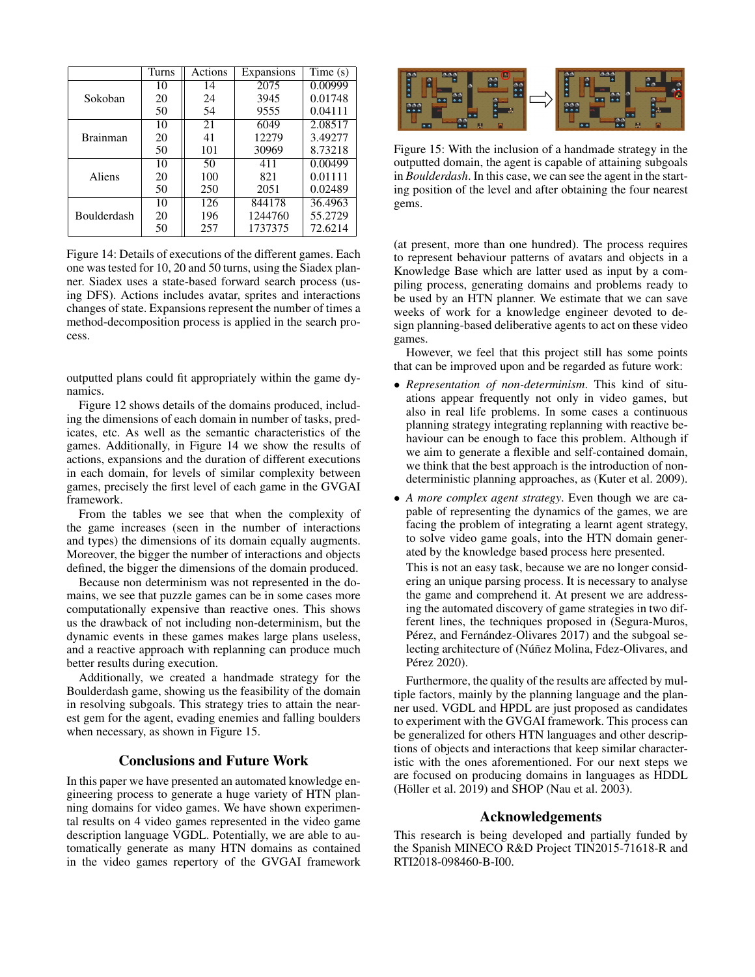|                    | Turns | Actions | Expansions | Time(s) |
|--------------------|-------|---------|------------|---------|
|                    | 10    | 14      | 2075       | 0.00999 |
| Sokoban            | 20    | 24      | 3945       | 0.01748 |
|                    | 50    | 54      | 9555       | 0.04111 |
|                    | 10    | 21      | 6049       | 2.08517 |
| <b>Brainman</b>    | 20    | 41      | 12279      | 3.49277 |
|                    | 50    | 101     | 30969      | 8.73218 |
|                    | 10    | 50      | 411        | 0.00499 |
| Aliens             | 20    | 100     | 821        | 0.01111 |
|                    | 50    | 250     | 2051       | 0.02489 |
|                    | 10    | 126     | 844178     | 36.4963 |
| <b>Boulderdash</b> | 20    | 196     | 1244760    | 55.2729 |
|                    | 50    | 257     | 1737375    | 72.6214 |

Figure 14: Details of executions of the different games. Each one was tested for 10, 20 and 50 turns, using the Siadex planner. Siadex uses a state-based forward search process (using DFS). Actions includes avatar, sprites and interactions changes of state. Expansions represent the number of times a method-decomposition process is applied in the search process.

outputted plans could fit appropriately within the game dynamics.

Figure 12 shows details of the domains produced, including the dimensions of each domain in number of tasks, predicates, etc. As well as the semantic characteristics of the games. Additionally, in Figure 14 we show the results of actions, expansions and the duration of different executions in each domain, for levels of similar complexity between games, precisely the first level of each game in the GVGAI framework.

From the tables we see that when the complexity of the game increases (seen in the number of interactions and types) the dimensions of its domain equally augments. Moreover, the bigger the number of interactions and objects defined, the bigger the dimensions of the domain produced.

Because non determinism was not represented in the domains, we see that puzzle games can be in some cases more computationally expensive than reactive ones. This shows us the drawback of not including non-determinism, but the dynamic events in these games makes large plans useless, and a reactive approach with replanning can produce much better results during execution.

Additionally, we created a handmade strategy for the Boulderdash game, showing us the feasibility of the domain in resolving subgoals. This strategy tries to attain the nearest gem for the agent, evading enemies and falling boulders when necessary, as shown in Figure 15.

# Conclusions and Future Work

In this paper we have presented an automated knowledge engineering process to generate a huge variety of HTN planning domains for video games. We have shown experimental results on 4 video games represented in the video game description language VGDL. Potentially, we are able to automatically generate as many HTN domains as contained in the video games repertory of the GVGAI framework



Figure 15: With the inclusion of a handmade strategy in the outputted domain, the agent is capable of attaining subgoals in *Boulderdash*. In this case, we can see the agent in the starting position of the level and after obtaining the four nearest gems.

(at present, more than one hundred). The process requires to represent behaviour patterns of avatars and objects in a Knowledge Base which are latter used as input by a compiling process, generating domains and problems ready to be used by an HTN planner. We estimate that we can save weeks of work for a knowledge engineer devoted to design planning-based deliberative agents to act on these video games.

However, we feel that this project still has some points that can be improved upon and be regarded as future work:

- *Representation of non-determinism*. This kind of situations appear frequently not only in video games, but also in real life problems. In some cases a continuous planning strategy integrating replanning with reactive behaviour can be enough to face this problem. Although if we aim to generate a flexible and self-contained domain, we think that the best approach is the introduction of nondeterministic planning approaches, as (Kuter et al. 2009).
- *A more complex agent strategy*. Even though we are capable of representing the dynamics of the games, we are facing the problem of integrating a learnt agent strategy, to solve video game goals, into the HTN domain generated by the knowledge based process here presented.

This is not an easy task, because we are no longer considering an unique parsing process. It is necessary to analyse the game and comprehend it. At present we are addressing the automated discovery of game strategies in two different lines, the techniques proposed in (Segura-Muros, Pérez, and Fernández-Olivares 2017) and the subgoal selecting architecture of (Núñez Molina, Fdez-Olivares, and Pérez 2020).

Furthermore, the quality of the results are affected by multiple factors, mainly by the planning language and the planner used. VGDL and HPDL are just proposed as candidates to experiment with the GVGAI framework. This process can be generalized for others HTN languages and other descriptions of objects and interactions that keep similar characteristic with the ones aforementioned. For our next steps we are focused on producing domains in languages as HDDL (Höller et al. 2019) and SHOP (Nau et al. 2003).

#### Acknowledgements

This research is being developed and partially funded by the Spanish MINECO R&D Project TIN2015-71618-R and RTI2018-098460-B-I00.